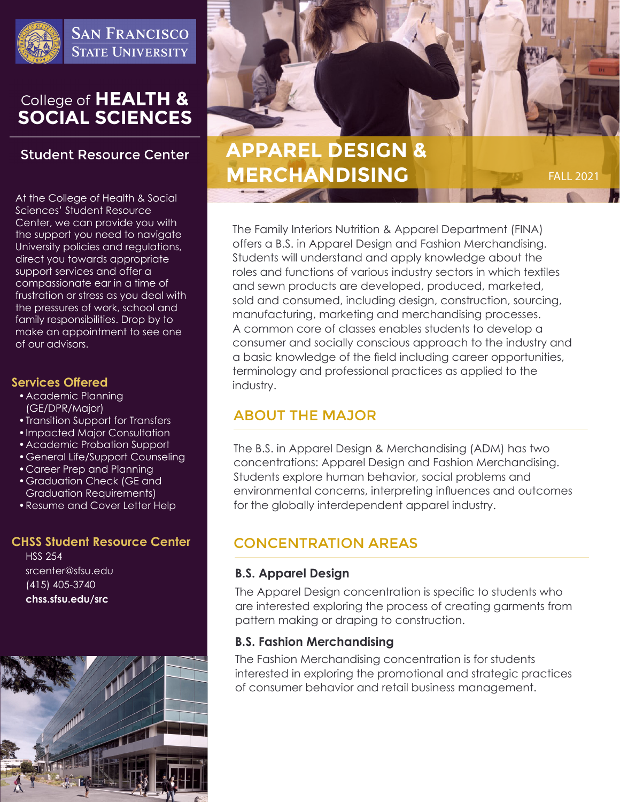

**SAN FRANCISCO STATE UNIVERSITY** 

# College of HEALTH &<br>SOCIAL SCIENCES

# **Student Resource Center**

At the College of Health & Social Sciences' Student Resource Center, we can provide you with the support you need to navigate University policies and regulations, direct you towards appropriate support services and offer a compassionate ear in a time of frustration or stress as you deal with the pressures of work, school and family responsibilities. Drop by to make an appointment to see one of our advisors.

#### **Services Offered**

- •Academic Planning (GE/DPR/Major)
- •Transition Support for Transfers
- •Impacted Major Consultation
- •Academic Probation Support
- •General Life/Support Counseling
- •Career Prep and Planning
- •Graduation Check (GE and Graduation Requirements)
- •Resume and Cover Letter Help

#### **CHSS Student Resource Center**

HSS 254 srcenter@sfsu.edu (415) 405-3740 **chss.sfsu.edu/src**





FALL 2021

# **APPAREL DESIGN & MERCHANDISING**

The Family Interiors Nutrition & Apparel Department (FINA) offers a B.S. in Apparel Design and Fashion Merchandising. Students will understand and apply knowledge about the roles and functions of various industry sectors in which textiles and sewn products are developed, produced, marketed, sold and consumed, including design, construction, sourcing, manufacturing, marketing and merchandising processes. A common core of classes enables students to develop a consumer and socially conscious approach to the industry and a basic knowledge of the field including career opportunities, terminology and professional practices as applied to the industry.

# ABOUT THE MAJOR

The B.S. in Apparel Design & Merchandising (ADM) has two concentrations: Apparel Design and Fashion Merchandising. Students explore human behavior, social problems and environmental concerns, interpreting influences and outcomes for the globally interdependent apparel industry.

# CONCENTRATION AREAS

### **B.S. Apparel Design**

The Apparel Design concentration is specific to students who are interested exploring the process of creating garments from pattern making or draping to construction.

#### **B.S. Fashion Merchandising**

The Fashion Merchandising concentration is for students interested in exploring the promotional and strategic practices of consumer behavior and retail business management.